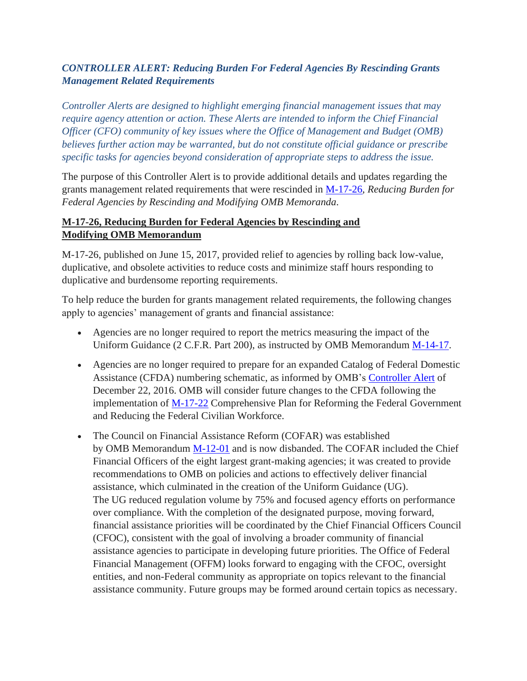## *CONTROLLER ALERT: Reducing Burden For Federal Agencies By Rescinding Grants Management Related Requirements*

*Controller Alerts are designed to highlight emerging financial management issues that may require agency attention or action. These Alerts are intended to inform the Chief Financial Officer (CFO) community of key issues where the Office of Management and Budget (OMB) believes further action may be warranted, but do not constitute official guidance or prescribe specific tasks for agencies beyond consideration of appropriate steps to address the issue.*

The purpose of this Controller Alert is to provide additional details and updates regarding the grants management related requirements that were rescinded in [M-17-26,](https://www.whitehouse.gov/sites/whitehouse.gov/files/omb/memoranda/2017/M-17-26.pdf) *Reducing Burden for Federal Agencies by Rescinding and Modifying OMB Memoranda*.

### **M-17-26, Reducing Burden for Federal Agencies by Rescinding and Modifying OMB Memorandum**

M-17-26, published on June 15, 2017, provided relief to agencies by rolling back low-value, duplicative, and obsolete activities to reduce costs and minimize staff hours responding to duplicative and burdensome reporting requirements.

To help reduce the burden for grants management related requirements, the following changes apply to agencies' management of grants and financial assistance:

- Agencies are no longer required to report the metrics measuring the impact of the Uniform Guidance (2 C.F.R. Part 200), as instructed by OMB Memorandum [M-14-17.](https://obamawhitehouse.archives.gov/sites/default/files/omb/memoranda/2014/m-14-17.pdf)
- Agencies are no longer required to prepare for an expanded Catalog of Federal Domestic Assistance (CFDA) numbering schematic, as informed by OMB's [Controller Alert](https://www.cfo.gov/policies/controller-alert-catalog-of-federal-domestic-assistance-numbering-schematic/) of December 22, 2016. OMB will consider future changes to the CFDA following the implementation of [M-17-22](https://www.whitehouse.gov/sites/whitehouse.gov/files/omb/memoranda/2017/M-17-22.pdf) Comprehensive Plan for Reforming the Federal Government and Reducing the Federal Civilian Workforce.
- The Council on Financial Assistance Reform (COFAR) was established by OMB Memorandum [M-12-01](https://obamawhitehouse.archives.gov/sites/default/files/omb/memoranda/2012/m-12-01.pdf) and is now disbanded. The COFAR included the Chief Financial Officers of the eight largest grant-making agencies; it was created to provide recommendations to OMB on policies and actions to effectively deliver financial assistance, which culminated in the creation of the Uniform Guidance (UG). The UG reduced regulation volume by 75% and focused agency efforts on performance over compliance. With the completion of the designated purpose, moving forward, financial assistance priorities will be coordinated by the Chief Financial Officers Council (CFOC), consistent with the goal of involving a broader community of financial assistance agencies to participate in developing future priorities. The Office of Federal Financial Management (OFFM) looks forward to engaging with the CFOC, oversight entities, and non-Federal community as appropriate on topics relevant to the financial assistance community. Future groups may be formed around certain topics as necessary.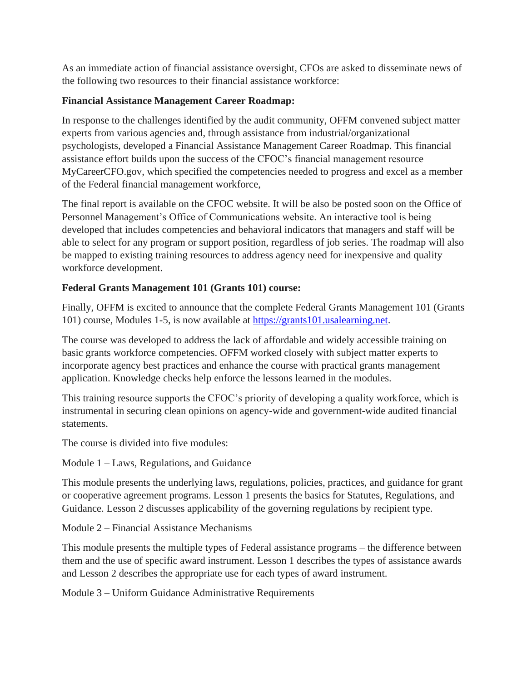As an immediate action of financial assistance oversight, CFOs are asked to disseminate news of the following two resources to their financial assistance workforce:

### **Financial Assistance Management Career Roadmap:**

In response to the challenges identified by the audit community, OFFM convened subject matter experts from various agencies and, through assistance from industrial/organizational psychologists, developed a Financial Assistance Management Career Roadmap. This financial assistance effort builds upon the success of the CFOC's financial management resource MyCareerCFO.gov, which specified the competencies needed to progress and excel as a member of the Federal financial management workforce,

The final report is available on the CFOC website. It will be also be posted soon on the Office of Personnel Management's Office of Communications website. An interactive tool is being developed that includes competencies and behavioral indicators that managers and staff will be able to select for any program or support position, regardless of job series. The roadmap will also be mapped to existing training resources to address agency need for inexpensive and quality workforce development.

# **Federal Grants Management 101 (Grants 101) course:**

Finally, OFFM is excited to announce that the complete Federal Grants Management 101 (Grants 101) course, Modules 1-5, is now available at [https://grants101.usalearning.net.](https://grants101.usalearning.net/)

The course was developed to address the lack of affordable and widely accessible training on basic grants workforce competencies. OFFM worked closely with subject matter experts to incorporate agency best practices and enhance the course with practical grants management application. Knowledge checks help enforce the lessons learned in the modules.

This training resource supports the CFOC's priority of developing a quality workforce, which is instrumental in securing clean opinions on agency-wide and government-wide audited financial statements.

The course is divided into five modules:

Module 1 – Laws, Regulations, and Guidance

This module presents the underlying laws, regulations, policies, practices, and guidance for grant or cooperative agreement programs. Lesson 1 presents the basics for Statutes, Regulations, and Guidance. Lesson 2 discusses applicability of the governing regulations by recipient type.

Module 2 – Financial Assistance Mechanisms

This module presents the multiple types of Federal assistance programs – the difference between them and the use of specific award instrument. Lesson 1 describes the types of assistance awards and Lesson 2 describes the appropriate use for each types of award instrument.

Module 3 – Uniform Guidance Administrative Requirements